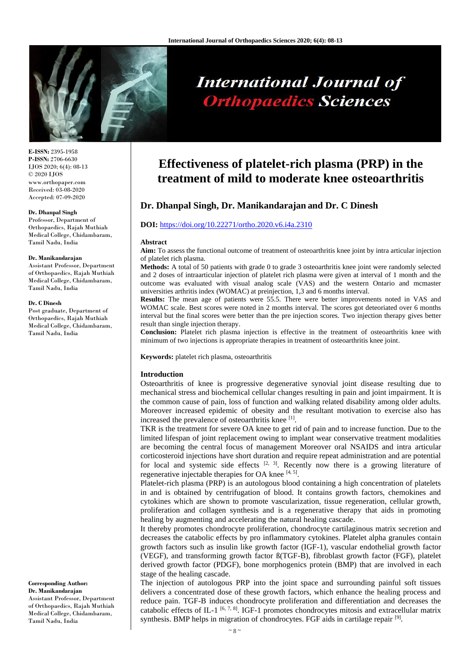

# **International Journal of Orthopaedics Sciences**

**E-ISSN:** 2395-1958 **P-ISSN:** 2706-6630 IJOS 2020; 6(4): 08-13 © 2020 IJOS www.orthopaper.com Received: 03-08-2020 Accepted: 07-09-2020

#### **Dr. Dhanpal Singh**

Professor, Department of Orthopaedics, Rajah Muthiah Medical College, Chidambaram, Tamil Nadu, India

#### **Dr. Manikandarajan**

Assistant Professor, Department of Orthopaedics, Rajah Muthiah Medical College, Chidambaram, Tamil Nadu, India

#### **Dr. C Dinesh**

Post graduate, Department of Orthopaedics, Rajah Muthiah Medical College, Chidambaram, Tamil Nadu, India

**Corresponding Author: Dr. Manikandarajan** Assistant Professor, Department of Orthopaedics, Rajah Muthiah Medical College, Chidambaram, Tamil Nadu, India

# **Effectiveness of platelet-rich plasma (PRP) in the treatment of mild to moderate knee osteoarthritis**

# **Dr. Dhanpal Singh, Dr. Manikandarajan and Dr. C Dinesh**

#### **DOI:** <https://doi.org/10.22271/ortho.2020.v6.i4a.2310>

#### **Abstract**

**Aim:** To assess the functional outcome of treatment of osteoarthritis knee joint by intra articular injection of platelet rich plasma.

**Methods:** A total of 50 patients with grade 0 to grade 3 osteoarthritis knee joint were randomly selected and 2 doses of intraarticular injection of platelet rich plasma were given at interval of 1 month and the outcome was evaluated with visual analog scale (VAS) and the western Ontario and mcmaster universities arthritis index (WOMAC) at preinjection, 1,3 and 6 months interval.

**Results:** The mean age of patients were 55.5. There were better improvements noted in VAS and WOMAC scale. Best scores were noted in 2 months interval. The scores got deteoriated over 6 months interval but the final scores were better than the pre injection scores. Two injection therapy gives better result than single injection therapy.

**Conclusion:** Platelet rich plasma injection is effective in the treatment of osteoarthritis knee with minimum of two injections is appropriate therapies in treatment of osteoarthritis knee joint.

**Keywords:** platelet rich plasma, osteoarthritis

#### **Introduction**

Osteoarthritis of knee is progressive degenerative synovial joint disease resulting due to mechanical stress and biochemical cellular changes resulting in pain and joint impairment. It is the common cause of pain, loss of function and walking related disability among older adults. Moreover increased epidemic of obesity and the resultant motivation to exercise also has increased the prevalence of osteoarthritis knee [1].

TKR is the treatment for severe OA knee to get rid of pain and to increase function. Due to the limited lifespan of joint replacement owing to implant wear conservative treatment modalities are becoming the central focus of management Moreover oral NSAIDS and intra articular corticosteroid injections have short duration and require repeat administration and are potential for local and systemic side effects  $[2, 3]$ . Recently now there is a growing literature of regenerative injectable therapies for OA knee  $[4, 5]$ .

Platelet-rich plasma (PRP) is an autologous blood containing a high concentration of platelets in and is obtained by centrifugation of blood. It contains growth factors, chemokines and cytokines which are shown to promote vascularization, tissue regeneration, cellular growth, proliferation and collagen synthesis and is a regenerative therapy that aids in promoting healing by augmenting and accelerating the natural healing cascade.

It thereby promotes chondrocyte proliferation, chondrocyte cartilaginous matrix secretion and decreases the catabolic effects by pro inflammatory cytokines. Platelet alpha granules contain growth factors such as insulin like growth factor (IGF-1), vascular endothelial growth factor (VEGF), and transforming growth factor ß(TGF-B), fibroblast growth factor (FGF), platelet derived growth factor (PDGF), bone morphogenics protein (BMP) that are involved in each stage of the healing cascade.

The injection of autologous PRP into the joint space and surrounding painful soft tissues delivers a concentrated dose of these growth factors, which enhance the healing process and reduce pain. TGF-B induces chondrocyte proliferation and differentiation and decreases the catabolic effects of IL-1<sup>[6, 7, 8]</sup>. IGF-1 promotes chondrocytes mitosis and extracellular matrix synthesis. BMP helps in migration of chondrocytes. FGF aids in cartilage repair <sup>[9]</sup>.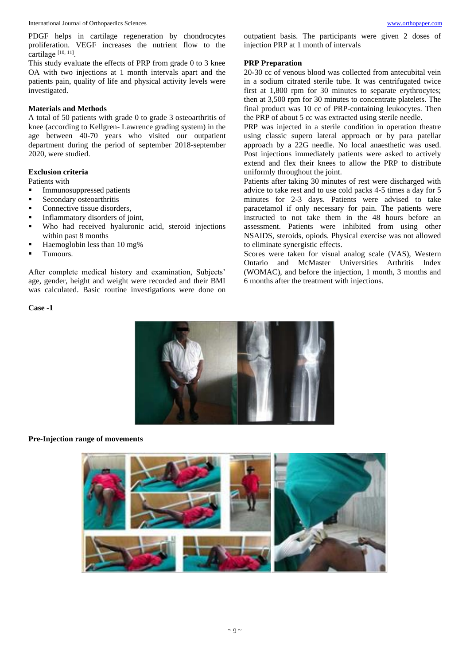PDGF helps in cartilage regeneration by chondrocytes proliferation. VEGF increases the nutrient flow to the cartilage [10, 11].

This study evaluate the effects of PRP from grade 0 to 3 knee OA with two injections at 1 month intervals apart and the patients pain, quality of life and physical activity levels were investigated.

## **Materials and Methods**

A total of 50 patients with grade 0 to grade 3 osteoarthritis of knee (according to Kellgren- Lawrence grading system) in the age between 40-70 years who visited our outpatient department during the period of september 2018-september 2020, were studied.

#### **Exclusion criteria**

Patients with

- Immunosuppressed patients
- Secondary osteoarthritis
- Connective tissue disorders,
- Inflammatory disorders of joint,
- Who had received hyaluronic acid, steroid injections within past 8 months
- Haemoglobin less than 10 mg%
- Tumours.

After complete medical history and examination, Subjects' age, gender, height and weight were recorded and their BMI was calculated. Basic routine investigations were done on outpatient basis. The participants were given 2 doses of injection PRP at 1 month of intervals

#### **PRP Preparation**

20-30 cc of venous blood was collected from antecubital vein in a sodium citrated sterile tube. It was centrifugated twice first at 1,800 rpm for 30 minutes to separate erythrocytes; then at 3,500 rpm for 30 minutes to concentrate platelets. The final product was 10 cc of PRP-containing leukocytes. Then the PRP of about 5 cc was extracted using sterile needle.

PRP was injected in a sterile condition in operation theatre using classic supero lateral approach or by para patellar approach by a 22G needle. No local anaesthetic was used. Post injections immediately patients were asked to actively extend and flex their knees to allow the PRP to distribute uniformly throughout the joint.

Patients after taking 30 minutes of rest were discharged with advice to take rest and to use cold packs 4-5 times a day for 5 minutes for 2-3 days. Patients were advised to take paracetamol if only necessary for pain. The patients were instructed to not take them in the 48 hours before an assessment. Patients were inhibited from using other NSAIDS, steroids, opiods. Physical exercise was not allowed to eliminate synergistic effects.

Scores were taken for visual analog scale (VAS), Western Ontario and McMaster Universities Arthritis Index (WOMAC), and before the injection, 1 month, 3 months and 6 months after the treatment with injections.



#### **Pre-Injection range of movements**

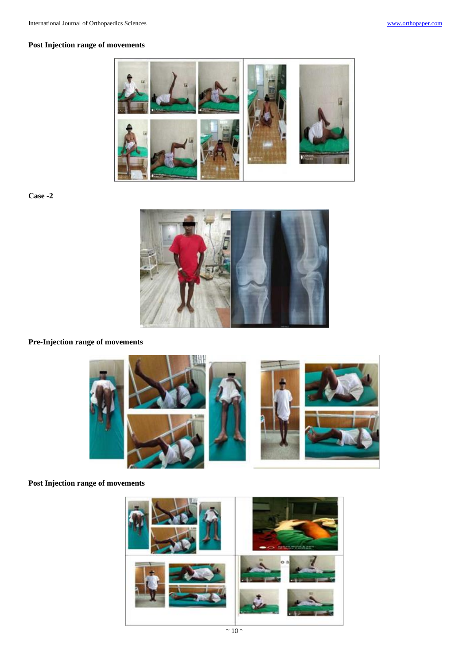# **Post Injection range of movements**



**Case -2**



**Pre-Injection range of movements**



**Post Injection range of movements**

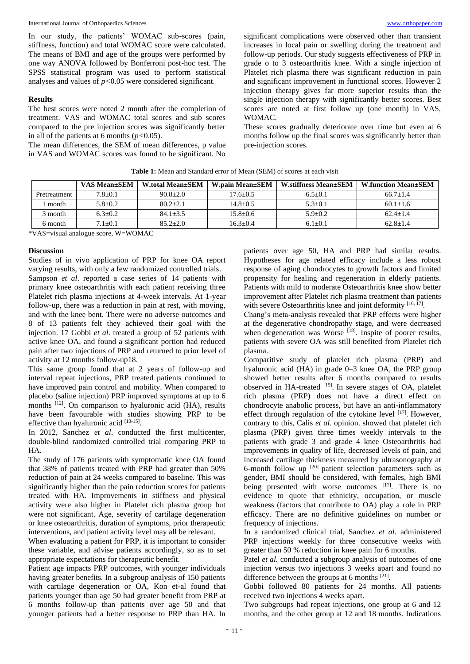In our study, the patients' WOMAC sub-scores (pain, stiffness, function) and total WOMAC score were calculated. The means of BMI and age of the groups were performed by one way ANOVA followed by Bonferroni post-hoc test. The SPSS statistical program was used to perform statistical analyses and values of *p<*0.05 were considered significant.

## **Results**

The best scores were noted 2 month after the completion of treatment. VAS and WOMAC total scores and sub scores compared to the pre injection scores was significantly better in all of the patients at 6 months  $(p<0.05)$ .

The mean differences, the SEM of mean differences, p value in VAS and WOMAC scores was found to be significant. No

significant complications were observed other than transient increases in local pain or swelling during the treatment and follow-up periods. Our study suggests effectiveness of PRP in grade o to 3 osteoarthritis knee. With a single injection of Platelet rich plasma there was significant reduction in pain and significant improvement in functional scores. However 2 injection therapy gives far more superior results than the single injection therapy with significantly better scores. Best scores are noted at first follow up (one month) in VAS, WOMAC.

These scores gradually deteriorate over time but even at 6 months follow up the final scores was significantly better than pre-injection scores.

|              | <b>VAS Mean</b> ±SEM | <b>W.total Mean</b> + SEM | <b>W.pain Mean</b> +SEM | <b>W.stiffness Mean</b> + SEM | <b>W.function Mean</b> ±SEM |
|--------------|----------------------|---------------------------|-------------------------|-------------------------------|-----------------------------|
| Pretreatment | $7.8 + 0.1$          | $90.8 + 2.0$              | $17.6 + 0.5$            | $6.5+0.1$                     | $66.7+1.4$                  |
| month        | $5.8 + 0.2$          | $80.2 + 2.1$              | $14.8 + 0.5$            | $5.3 \pm 0.1$                 | $60.1 + 1.6$                |
| 3 month      | $6.3+0.2$            | $84.1 + 3.5$              | $15.8 + 0.6$            | $5.9 + 0.2$                   | $62.4 + 1.4$                |
| 6 month      | $7.1 + 0.1$          | $85.2 + 2.0$              | $16.3 + 0.4$            | $6.1 + 0.1$                   | $62.8 + 1.4$                |

\*VAS=visual analogue score, W=WOMAC

#### **Discussion**

Studies of in vivo application of PRP for knee OA report varying results, with only a few randomized controlled trials. Sampson *et al*. reported a case series of 14 patients with primary knee osteoarthritis with each patient receiving three Platelet rich plasma injections at 4-week intervals. At 1-year follow-up, there was a reduction in pain at rest, with moving, and with the knee bent. There were no adverse outcomes and 8 of 13 patients felt they achieved their goal with the injection. 17 Gobbi *et al*. treated a group of 52 patients with active knee OA, and found a significant portion had reduced pain after two injections of PRP and returned to prior level of activity at 12 months follow-up18.

This same group found that at 2 years of follow-up and interval repeat injections, PRP treated patients continued to have improved pain control and mobility. When compared to placebo (saline injection) PRP improved symptoms at up to 6 months <sup>[12]</sup>. On comparison to hyaluronic acid (HA), results have been favourable with studies showing PRP to be effective than hyaluronic acid [13-15].

In 2012, Sanchez *et al*. conducted the first multicenter, double-blind randomized controlled trial comparing PRP to HA.

The study of 176 patients with symptomatic knee OA found that 38% of patients treated with PRP had greater than 50% reduction of pain at 24 weeks compared to baseline. This was significantly higher than the pain reduction scores for patients treated with HA. Improvements in stiffness and physical activity were also higher in Platelet rich plasma group but were not significant. Age, severity of cartilage degeneration or knee osteoarthritis, duration of symptoms, prior therapeutic interventions, and patient activity level may all be relevant.

When evaluating a patient for PRP, it is important to consider these variable, and advise patients accordingly, so as to set appropriate expectations for therapeutic benefit.

Patient age impacts PRP outcomes, with younger individuals having greater benefits. In a subgroup analysis of 150 patients with cartilage degeneration or OA, Kon et-al found that patients younger than age 50 had greater benefit from PRP at 6 months follow-up than patients over age 50 and that younger patients had a better response to PRP than HA. In

patients over age 50, HA and PRP had similar results. Hypotheses for age related efficacy include a less robust response of aging chondrocytes to growth factors and limited propensity for healing and regeneration in elderly patients. Patients with mild to moderate Osteoarthritis knee show better improvement after Platelet rich plasma treatment than patients with severe Osteoarthritis knee and joint deformity [16, 17].

Chang's meta-analysis revealed that PRP effects were higher at the degenerative chondropathy stage, and were decreased when degeneration was Worse  $[18]$ . Inspite of poorer results, patients with severe OA was still benefited from Platelet rich plasma.

Comparitive study of platelet rich plasma (PRP) and hyaluronic acid (HA) in grade 0–3 knee OA, the PRP group showed better results after 6 months compared to results observed in HA-treated [19]. In severe stages of OA, platelet rich plasma (PRP) does not have a direct effect on chondrocyte anabolic process, but have an anti-inflammatory effect through regulation of the cytokine level  $[17]$ . However, contrary to this, Calis *et al*. opinion. showed that platelet rich plasma (PRP) given three times weekly intervals to the patients with grade 3 and grade 4 knee Osteoarthritis had improvements in quality of life, decreased levels of pain, and increased cartilage thickness measured by ultrasonography at 6-month follow up  $[20]$  patient selection parameters such as gender, BMI should be considered, with females, high BMI being presented with worse outcomes [17]. There is no evidence to quote that ethnicity, occupation, or muscle weakness (factors that contribute to OA) play a role in PRP efficacy. There are no definitive guidelines on number or frequency of injections.

In a randomized clinical trial, Sanchez *et al.* administered PRP injections weekly for three consecutive weeks with greater than 50 % reduction in knee pain for 6 months.

Patel *et al.* conducted a subgroup analysis of outcomes of one injection versus two injections 3 weeks apart and found no difference between the groups at 6 months [21].

Gobbi followed 80 patients for 24 months. All patients received two injections 4 weeks apart.

Two subgroups had repeat injections, one group at 6 and 12 months, and the other group at 12 and 18 months. Indications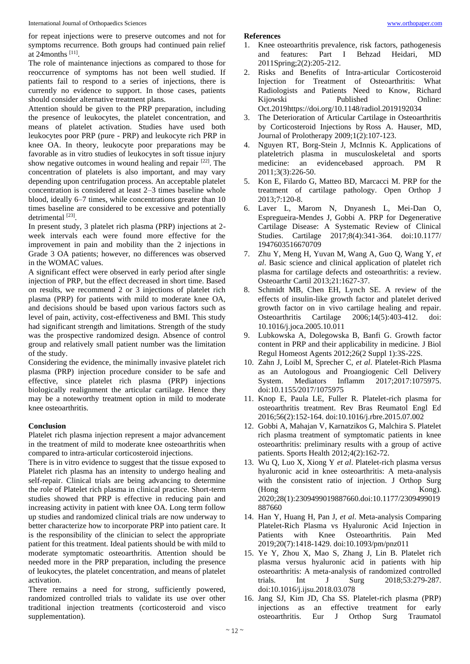for repeat injections were to preserve outcomes and not for symptoms recurrence. Both groups had continued pain relief at 24months [11] .

The role of maintenance injections as compared to those for reoccurrence of symptoms has not been well studied. If patients fail to respond to a series of injections, there is currently no evidence to support. In those cases, patients should consider alternative treatment plans.

Attention should be given to the PRP preparation, including the presence of leukocytes, the platelet concentration, and means of platelet activation. Studies have used both leukocytes poor PRP (pure - PRP) and leukocyte rich PRP in knee OA. In theory, leukocyte poor preparations may be favorable as in vitro studies of leukocytes in soft tissue injury show negative outcomes in wound healing and repair  $[22]$ . The concentration of platelets is also important, and may vary depending upon centrifugation process. An acceptable platelet concentration is considered at least 2–3 times baseline whole blood, ideally 6–7 times, while concentrations greater than 10 times baseline are considered to be excessive and potentially detrimental [23].

In present study, 3 platelet rich plasma (PRP) injections at 2 week intervals each were found more effective for the improvement in pain and mobility than the 2 injections in Grade 3 OA patients; however, no differences was observed in the WOMAC values.

A significant effect were observed in early period after single injection of PRP, but the effect decreased in short time. Based on results, we recommend 2 or 3 injections of platelet rich plasma (PRP) for patients with mild to moderate knee OA, and decisions should be based upon various factors such as level of pain, activity, cost-effectiveness and BMI. This study had significant strength and limitations. Strength of the study was the prospective randomized design. Absence of control group and relatively small patient number was the limitation of the study.

Considering the evidence, the minimally invasive platelet rich plasma (PRP) injection procedure consider to be safe and effective, since platelet rich plasma (PRP) injections biologically realignment the articular cartilage. Hence they may be a noteworthy treatment option in mild to moderate knee osteoarthritis.

#### **Conclusion**

Platelet rich plasma injection represent a major advancement in the treatment of mild to moderate knee osteoarthritis when compared to intra-articular corticosteroid injections.

There is in vitro evidence to suggest that the tissue exposed to Platelet rich plasma has an intensity to undergo healing and self-repair. Clinical trials are being advancing to determine the role of Platelet rich plasma in clinical practice. Short-term studies showed that PRP is effective in reducing pain and increasing activity in patient with knee OA. Long term follow up studies and randomized clinical trials are now underway to better characterize how to incorporate PRP into patient care. It is the responsibility of the clinician to select the appropriate patient for this treatment. Ideal patients should be with mild to moderate symptomatic osteoarthritis. Attention should be needed more in the PRP preparation, including the presence of leukocytes, the platelet concentration, and means of platelet activation.

There remains a need for strong, sufficiently powered, randomized controlled trials to validate its use over other traditional injection treatments (corticosteroid and visco supplementation).

#### **References**

- 1. Knee osteoarthritis prevalence, risk factors, pathogenesis and features: Part I Behzad Heidari, MD 2011Spring;2(2):205-212.
- 2. Risks and Benefits of Intra-articular Corticosteroid Injection for Treatment of Osteoarthritis: What Radiologists and Patients Need to Know, Richard Kijowski Published Online: Oct.2019https://doi.org/10.1148/radiol.2019192034
- 3. The Deterioration of Articular Cartilage in Osteoarthritis by Corticosteroid Injections by Ross A. Hauser, MD, Journal of Prolotherapy 2009;1(2):107-123.
- 4. Nguyen RT, Borg-Stein J, McInnis K. Applications of plateletrich plasma in musculoskeletal and sports medicine: an evidencebased approach. PM R 2011;3(3):226-50.
- 5. Kon E, Filardo G, Matteo BD, Marcacci M. PRP for the treatment of cartilage pathology. Open Orthop J 2013;7:120-8.
- 6. Laver L, Marom N, Dnyanesh L, Mei-Dan O, Espregueira-Mendes J, Gobbi A. PRP for Degenerative Cartilage Disease: A Systematic Review of Clinical Studies. Cartilage 2017;8(4):341-364. doi:10.1177/ 1947603516670709
- 7. Zhu Y, Meng H, Yuvan M, Wang A, Guo Q, Wang Y, *et al*. Basic science and clinical application of platelet rich plasma for cartilage defects and osteoarthritis: a review. Osteoarthr Cartil 2013;21:1627-37.
- 8. Schmidt MB, Chen EH, Lynch SE. A review of the effects of insulin-like growth factor and platelet derived growth factor on in vivo cartilage healing and repair. Osteoarthritis Cartilage 2006;14(5):403-412. doi: 10.1016/j.joca.2005.10.011
- 9. Lubkowska A, Dolegowska B, Banfi G. Growth factor content in PRP and their applicability in medicine. J Biol Regul Homeost Agents 2012;26(2 Suppl 1):3S-22S.
- 10. Zahn J, Loibl M, Sprecher C, *et al*. Platelet-Rich Plasma as an Autologous and Proangiogenic Cell Delivery System. Mediators Inflamm 2017;2017:1075975. doi:10.1155/2017/1075975
- 11. Knop E, Paula LE, Fuller R. Platelet-rich plasma for osteoarthritis treatment. Rev Bras Reumatol Engl Ed 2016;56(2):152-164. doi:10.1016/j.rbre.2015.07.002
- 12. Gobbi A, Mahajan V, Karnatzikos G, Malchira S. Platelet rich plasma treatment of symptomatic patients in knee osteoarthritis: preliminary results with a group of active patients. Sports Health 2012;4(2):162-72.
- 13. Wu Q, Luo X, Xiong Y *et al*. Platelet-rich plasma versus hyaluronic acid in knee osteoarthritis: A meta-analysis with the consistent ratio of injection. J Orthop Surg  $(Hong)$ 2020;28(1):2309499019887660.doi:10.1177/2309499019 887660
- 14. Han Y, Huang H, Pan J, *et al*. Meta-analysis Comparing Platelet-Rich Plasma vs Hyaluronic Acid Injection in Patients with Knee Osteoarthritis. Pain Med 2019;20(7):1418-1429. doi:10.1093/pm/pnz011
- 15. Ye Y, Zhou X, Mao S, Zhang J, Lin B. Platelet rich plasma versus hyaluronic acid in patients with hip osteoarthritis: A meta-analysis of randomized controlled trials. Int J Surg 2018;53:279-287. doi:10.1016/j.ijsu.2018.03.078
- 16. Jang SJ, Kim JD, Cha SS. Platelet-rich plasma (PRP) injections as an effective treatment for early osteoarthritis. Eur J Orthop Surg Traumatol